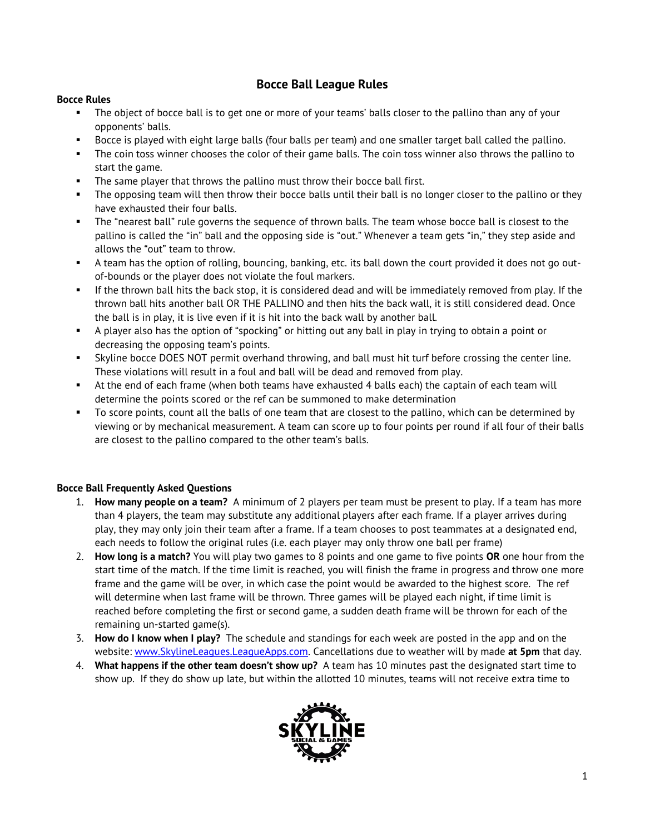## **Bocce Ball League Rules**

## **Bocce Rules**

- **•** The object of bocce ball is to get one or more of your teams' balls closer to the pallino than any of your opponents' balls.
- Bocce is played with eight large balls (four balls per team) and one smaller target ball called the pallino.
- The coin toss winner chooses the color of their game balls. The coin toss winner also throws the pallino to start the game.
- The same player that throws the pallino must throw their bocce ball first.
- The opposing team will then throw their bocce balls until their ball is no longer closer to the pallino or they have exhausted their four balls.
- The "nearest ball" rule governs the sequence of thrown balls. The team whose bocce ball is closest to the pallino is called the "in" ball and the opposing side is "out." Whenever a team gets "in," they step aside and allows the "out" team to throw.
- A team has the option of rolling, bouncing, banking, etc. its ball down the court provided it does not go outof-bounds or the player does not violate the foul markers.
- If the thrown ball hits the back stop, it is considered dead and will be immediately removed from play. If the thrown ball hits another ball OR THE PALLINO and then hits the back wall, it is still considered dead. Once the ball is in play, it is live even if it is hit into the back wall by another ball.
- A player also has the option of "spocking" or hitting out any ball in play in trying to obtain a point or decreasing the opposing team's points.
- Skyline bocce DOES NOT permit overhand throwing, and ball must hit turf before crossing the center line. These violations will result in a foul and ball will be dead and removed from play.
- At the end of each frame (when both teams have exhausted 4 balls each) the captain of each team will determine the points scored or the ref can be summoned to make determination
- To score points, count all the balls of one team that are closest to the pallino, which can be determined by viewing or by mechanical measurement. A team can score up to four points per round if all four of their balls are closest to the pallino compared to the other team's balls.

## **Bocce Ball Frequently Asked Questions**

- 1. **How many people on a team?** A minimum of 2 players per team must be present to play. If a team has more than 4 players, the team may substitute any additional players after each frame. If a player arrives during play, they may only join their team after a frame. If a team chooses to post teammates at a designated end, each needs to follow the original rules (i.e. each player may only throw one ball per frame)
- 2. **How long is a match?** You will play two games to 8 points and one game to five points **OR** one hour from the start time of the match. If the time limit is reached, you will finish the frame in progress and throw one more frame and the game will be over, in which case the point would be awarded to the highest score. The ref will determine when last frame will be thrown. Three games will be played each night, if time limit is reached before completing the first or second game, a sudden death frame will be thrown for each of the remaining un-started game(s).
- 3. **How do I know when I play?** The schedule and standings for each week are posted in the app and on the website: [www.SkylineLeagues.LeagueApps.com.](http://www.skylineleagues.leagueapps.com/) Cancellations due to weather will by made **at 5pm** that day.
- 4. **What happens if the other team doesn't show up?** A team has 10 minutes past the designated start time to show up. If they do show up late, but within the allotted 10 minutes, teams will not receive extra time to